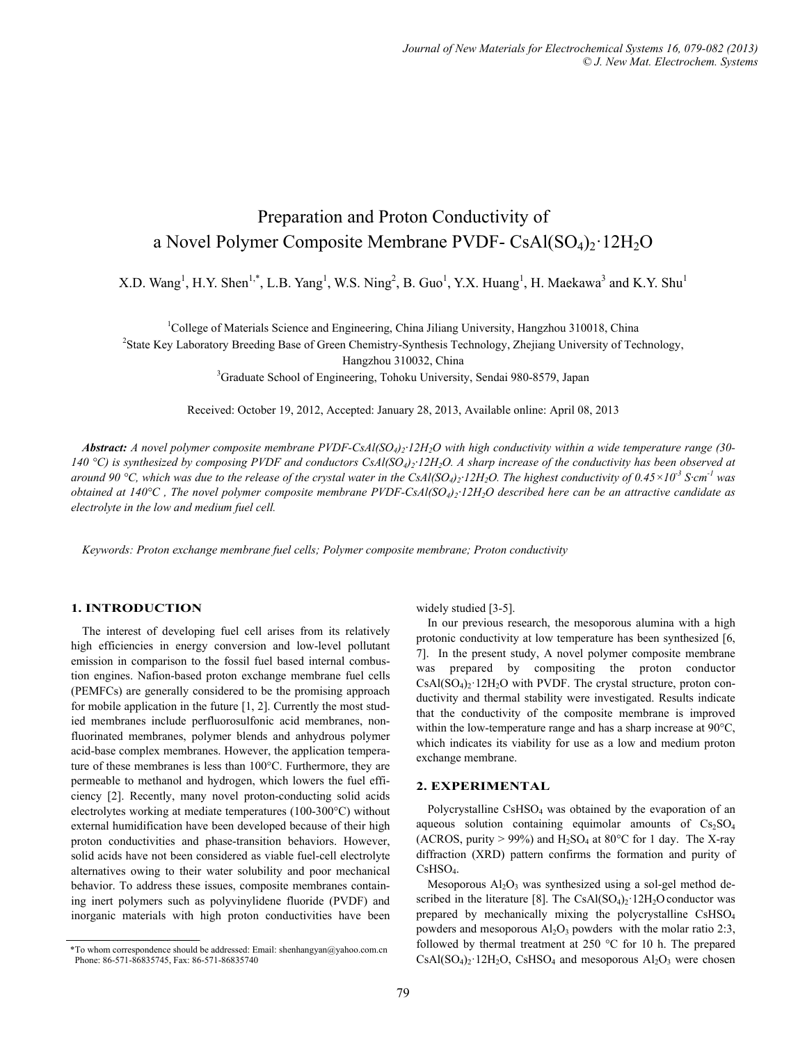# Preparation and Proton Conductivity of a Novel Polymer Composite Membrane PVDF-  $CsAl(SO<sub>4</sub>)<sub>2</sub>·12H<sub>2</sub>O$

X.D. Wang<sup>1</sup>, H.Y. Shen<sup>1,\*</sup>, L.B. Yang<sup>1</sup>, W.S. Ning<sup>2</sup>, B. Guo<sup>1</sup>, Y.X. Huang<sup>1</sup>, H. Maekawa<sup>3</sup> and K.Y. Shu<sup>1</sup>

<sup>1</sup>College of Materials Science and Engineering, China Jiliang University, Hangzhou 310018, China <sup>2</sup>State Key Laboratory Prooding Base of Groen Chamistry Synthesis Technology, Zheijang University of Tec

<sup>2</sup>State Key Laboratory Breeding Base of Green Chemistry-Synthesis Technology, Zhejiang University of Technology,

Hangzhou 310032, China<br>
<sup>3</sup>Graduate School of Engineering, Tohoku University, Sendai 980-8579, Japan

Received: October 19, 2012, Accepted: January 28, 2013, Available online: April 08, 2013

*Abstract: A novel polymer composite membrane PVDF-CsAl(SO4)2·12H2O with high conductivity within a wide temperature range (30- 140 °C) is synthesized by composing PVDF and conductors CsAl(SO4)2·12H2O. A sharp increase of the conductivity has been observed at around 90* °C, which was due to the release of the crystal water in the CsAl(SO<sub>4</sub>)<sub>2</sub>·12H<sub>2</sub>O. The highest conductivity of  $0.45 \times 10^{-3}$  S·cm<sup>-1</sup> was *obtained at 140°C*, The novel polymer composite membrane PVDF-CsAl(SO<sub>4</sub>)<sub>2</sub>·12H<sub>2</sub>O described here can be an attractive candidate as *electrolyte in the low and medium fuel cell.* 

*Keywords: Proton exchange membrane fuel cells; Polymer composite membrane; Proton conductivity* 

# **1. INTRODUCTION**

The interest of developing fuel cell arises from its relatively high efficiencies in energy conversion and low-level pollutant emission in comparison to the fossil fuel based internal combustion engines. Nafion-based proton exchange membrane fuel cells (PEMFCs) are generally considered to be the promising approach for mobile application in the future [1, 2]. Currently the most studied membranes include perfluorosulfonic acid membranes, nonfluorinated membranes, polymer blends and anhydrous polymer acid-base complex membranes. However, the application temperature of these membranes is less than 100°C. Furthermore, they are permeable to methanol and hydrogen, which lowers the fuel efficiency [2]. Recently, many novel proton-conducting solid acids electrolytes working at mediate temperatures (100-300°C) without external humidification have been developed because of their high proton conductivities and phase-transition behaviors. However, solid acids have not been considered as viable fuel-cell electrolyte alternatives owing to their water solubility and poor mechanical behavior. To address these issues, composite membranes containing inert polymers such as polyvinylidene fluoride (PVDF) and inorganic materials with high proton conductivities have been

widely studied [3-5].

In our previous research, the mesoporous alumina with a high protonic conductivity at low temperature has been synthesized [6, 7]. In the present study, A novel polymer composite membrane was prepared by compositing the proton conductor  $CsAl(SO<sub>4</sub>)<sub>2</sub>·12H<sub>2</sub>O$  with PVDF. The crystal structure, proton conductivity and thermal stability were investigated. Results indicate that the conductivity of the composite membrane is improved within the low-temperature range and has a sharp increase at 90°C, which indicates its viability for use as a low and medium proton exchange membrane.

## **2. EXPERIMENTAL**

Polycrystalline  $CsHSO<sub>4</sub>$  was obtained by the evaporation of an aqueous solution containing equimolar amounts of  $Cs_2SO_4$ (ACROS, purity > 99%) and  $H_2SO_4$  at 80°C for 1 day. The X-ray diffraction (XRD) pattern confirms the formation and purity of CsHSO4.

Mesoporous  $Al_2O_3$  was synthesized using a sol-gel method described in the literature [8]. The  $CsAl(SO<sub>4</sub>)<sub>2</sub>·12H<sub>2</sub>O$  conductor was prepared by mechanically mixing the polycrystalline CsHSO4 powders and mesoporous  $Al_2O_3$  powders with the molar ratio 2:3, followed by thermal treatment at 250 °C for 10 h. The prepared \*To whom correspondence should be addressed: Email: shenhangyan@yahoo.com.cn  $\text{CoAl(SO4)}_2$ : 12H<sub>2</sub>O, CsHSO<sub>4</sub> and mesoporous Al<sub>2</sub>O<sub>3</sub> were chosen  $\text{CsAl(SO4)}_2$ : 12H<sub>2</sub>O, CsHSO<sub>4</sub> and mesoporous Al<sub>2</sub>O<sub>3</sub> were chosen

Phone: 86-571-86835745, Fax: 86-571-86835740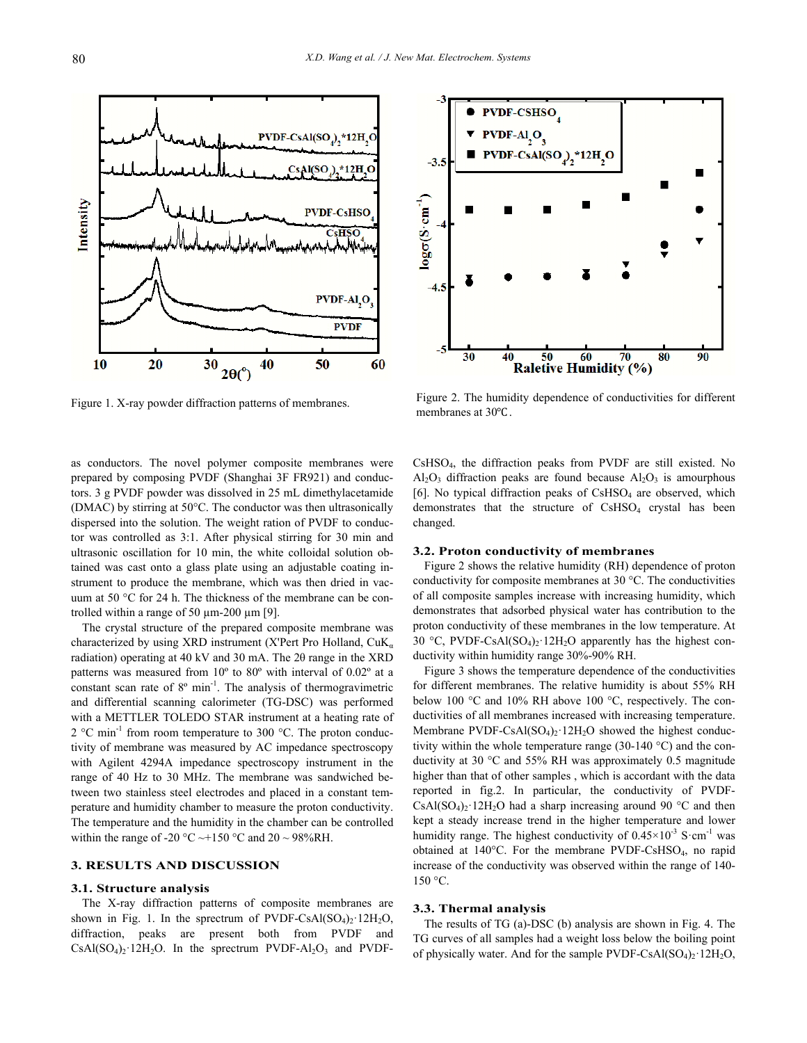

Figure 1. X-ray powder diffraction patterns of membranes.<br>membranes at 30°C.



Figure 2. The humidity dependence of conductivities for different

as conductors. The novel polymer composite membranes were prepared by composing PVDF (Shanghai 3F FR921) and conductors. 3 g PVDF powder was dissolved in 25 mL dimethylacetamide (DMAC) by stirring at 50°C. The conductor was then ultrasonically dispersed into the solution. The weight ration of PVDF to conductor was controlled as 3:1. After physical stirring for 30 min and ultrasonic oscillation for 10 min, the white colloidal solution obtained was cast onto a glass plate using an adjustable coating instrument to produce the membrane, which was then dried in vacuum at 50 °C for 24 h. The thickness of the membrane can be controlled within a range of 50  $\mu$ m-200  $\mu$ m [9].

The crystal structure of the prepared composite membrane was characterized by using XRD instrument (X'Pert Pro Holland,  $CuK_a$ radiation) operating at 40 kV and 30 mA. The 2θ range in the XRD patterns was measured from 10º to 80º with interval of 0.02º at a constant scan rate of 8° min<sup>-1</sup>. The analysis of thermogravimetric and differential scanning calorimeter (TG-DSC) was performed with a METTLER TOLEDO STAR instrument at a heating rate of 2 °C min<sup>-1</sup> from room temperature to 300 °C. The proton conductivity of membrane was measured by AC impedance spectroscopy with Agilent 4294A impedance spectroscopy instrument in the range of 40 Hz to 30 MHz. The membrane was sandwiched between two stainless steel electrodes and placed in a constant temperature and humidity chamber to measure the proton conductivity. The temperature and the humidity in the chamber can be controlled within the range of -20 °C  $\sim$ +150 °C and 20  $\sim$  98%RH.

## **3. RESULTS AND DISCUSSION**

### **3.1. Structure analysis**

The X-ray diffraction patterns of composite membranes are shown in Fig. 1. In the sprectrum of PVDF-CsAl $(SO<sub>4</sub>)<sub>2</sub>$  12H<sub>2</sub>O, diffraction, peaks are present both from PVDF and  $CsAl(SO<sub>4</sub>)<sub>2</sub>·12H<sub>2</sub>O$ . In the sprectrum PVDF-Al<sub>2</sub>O<sub>3</sub> and PVDF- CsHSO4, the diffraction peaks from PVDF are still existed. No  $Al_2O_3$  diffraction peaks are found because  $Al_2O_3$  is amourphous [6]. No typical diffraction peaks of  $CsHSO<sub>4</sub>$  are observed, which demonstrates that the structure of CsHSO<sub>4</sub> crystal has been changed.

#### **3.2. Proton conductivity of membranes**

Figure 2 shows the relative humidity (RH) dependence of proton conductivity for composite membranes at 30 °C. The conductivities of all composite samples increase with increasing humidity, which demonstrates that adsorbed physical water has contribution to the proton conductivity of these membranes in the low temperature. At 30 °C, PVDF-CsAl $(SO_4)_2$  12H<sub>2</sub>O apparently has the highest conductivity within humidity range 30%-90% RH.

Figure 3 shows the temperature dependence of the conductivities for different membranes. The relative humidity is about 55% RH below 100 °C and 10% RH above 100 °C, respectively. The conductivities of all membranes increased with increasing temperature. Membrane PVDF-CsAl $(SO<sub>4</sub>)<sub>2</sub>$  12H<sub>2</sub>O showed the highest conductivity within the whole temperature range (30-140 °C) and the conductivity at 30 °C and 55% RH was approximately 0.5 magnitude higher than that of other samples , which is accordant with the data reported in fig.2. In particular, the conductivity of PVDF- $CsAl(SO<sub>4</sub>)<sub>2</sub>12H<sub>2</sub>O$  had a sharp increasing around 90 °C and then kept a steady increase trend in the higher temperature and lower humidity range. The highest conductivity of  $0.45 \times 10^{-3}$  S·cm<sup>-1</sup> was obtained at 140°C. For the membrane PVDF-CsHSO4, no rapid increase of the conductivity was observed within the range of 140- 150 °C.

#### **3.3. Thermal analysis**

The results of TG (a)-DSC (b) analysis are shown in Fig. 4. The TG curves of all samples had a weight loss below the boiling point of physically water. And for the sample PVDF-CsAl $(SO<sub>4</sub>)<sub>2</sub>$  12H<sub>2</sub>O,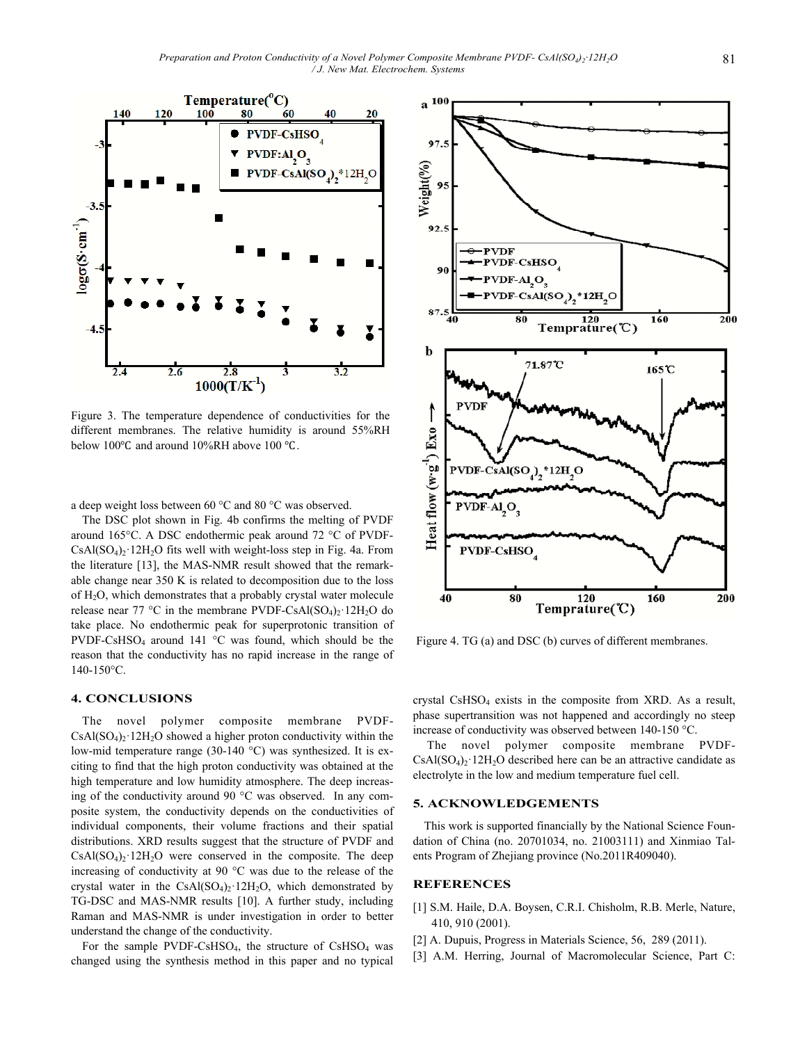

Figure 3. The temperature dependence of conductivities for the different membranes. The relative humidity is around 55%RH below 100 $\degree$ C and around 10%RH above 100  $\degree$ C.

a deep weight loss between 60 °C and 80 °C was observed.

The DSC plot shown in Fig. 4b confirms the melting of PVDF around 165°C. A DSC endothermic peak around 72 °C of PVDF- $CsAl(SO<sub>4</sub>)<sub>2</sub>·12H<sub>2</sub>O$  fits well with weight-loss step in Fig. 4a. From the literature [13], the MAS-NMR result showed that the remarkable change near 350 K is related to decomposition due to the loss of H2O, which demonstrates that a probably crystal water molecule release near 77 °C in the membrane PVDF-CsAl $(SO_4)_2$  12H<sub>2</sub>O do take place. No endothermic peak for superprotonic transition of PVDF-CsHSO4 around 141 °C was found, which should be the reason that the conductivity has no rapid increase in the range of 140-150°C.

#### **4. CONCLUSIONS**

The novel polymer composite membrane PVDF- $CsAl(SO<sub>4</sub>)<sub>2</sub>·12H<sub>2</sub>O$  showed a higher proton conductivity within the low-mid temperature range (30-140 °C) was synthesized. It is exciting to find that the high proton conductivity was obtained at the high temperature and low humidity atmosphere. The deep increasing of the conductivity around 90 °C was observed. In any composite system, the conductivity depends on the conductivities of individual components, their volume fractions and their spatial distributions. XRD results suggest that the structure of PVDF and  $CsAl(SO<sub>4</sub>)<sub>2</sub>·12H<sub>2</sub>O$  were conserved in the composite. The deep increasing of conductivity at 90 °C was due to the release of the crystal water in the  $CsAl(SO<sub>4</sub>)<sub>2</sub>12H<sub>2</sub>O$ , which demonstrated by TG-DSC and MAS-NMR results [10]. A further study, including Raman and MAS-NMR is under investigation in order to better understand the change of the conductivity.

For the sample PVDF-CsHSO<sub>4</sub>, the structure of CsHSO<sub>4</sub> was changed using the synthesis method in this paper and no typical



Figure 4. TG (a) and DSC (b) curves of different membranes.

crystal CsHSO4 exists in the composite from XRD. As a result, phase supertransition was not happened and accordingly no steep increase of conductivity was observed between 140-150 °C.

 The novel polymer composite membrane PVDF- $CsAl(SO<sub>4</sub>)<sub>2</sub>·12H<sub>2</sub>O$  described here can be an attractive candidate as electrolyte in the low and medium temperature fuel cell.

## **5. ACKNOWLEDGEMENTS**

This work is supported financially by the National Science Foundation of China (no. 20701034, no. 21003111) and Xinmiao Talents Program of Zhejiang province (No.2011R409040).

# **REFERENCES**

- [1] S.M. Haile, D.A. Boysen, C.R.I. Chisholm, R.B. Merle, Nature, 410, 910 (2001).
- [2] A. Dupuis, Progress in Materials Science, 56, 289 (2011).
- [3] A.M. Herring, Journal of Macromolecular Science, Part C: